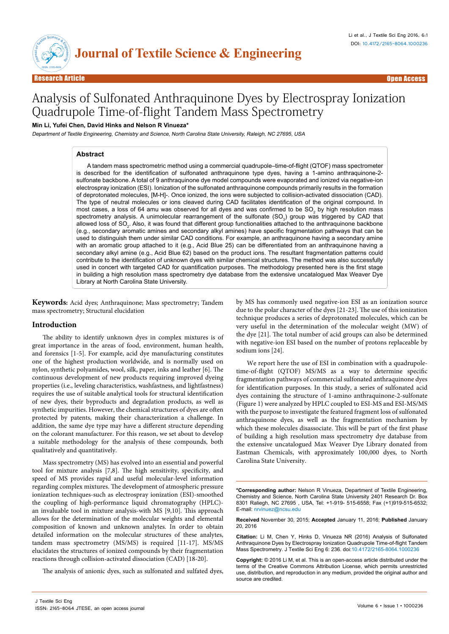

# Analysis of Sulfonated Anthraquinone Dyes by Electrospray Ionization Quadrupole Time-of-flight Tandem Mass Spectrometry

#### **Min Li, Yufei Chen, David Hinks and Nelson R Vinueza\***

Department of Textile Engineering, Chemistry and Science, North Carolina State University, Raleigh, NC 27695, USA

#### **Abstract**

A tandem mass spectrometric method using a commercial quadrupole–time-of-flight (QTOF) mass spectrometer is described for the identification of sulfonated anthraquinone type dyes, having a 1-amino anthraquinone-2 sulfonate backbone. A total of 9 anthraquinone dye model compounds were evaporated and ionized via negative-ion electrospray ionization (ESI). Ionization of the sulfonated anthraquinone compounds primarily results in the formation of deprotonated molecules, [M-H]-. Once ionized, the ions were subjected to collision-activated dissociation (CAD). The type of neutral molecules or ions cleaved during CAD facilitates identification of the original compound. In most cases, a loss of 64 amu was observed for all dyes and was confirmed to be SO<sub>2</sub> by high resolution mass spectrometry analysis. A unimolecular rearrangement of the sulfonate (SO<sub>3</sub>) group was triggered by CAD that allowed loss of SO<sub>2</sub>. Also, it was found that different group functionalities attached to the anthraquinone backbone (e.g., secondary aromatic amines and secondary alkyl amines) have specific fragmentation pathways that can be used to distinguish them under similar CAD conditions. For example, an anthraquinone having a secondary amine with an aromatic group attached to it (e.g., Acid Blue 25) can be differentiated from an anthraquinone having a secondary alkyl amine (e.g., Acid Blue 62) based on the product ions. The resultant fragmentation patterns could contribute to the identification of unknown dyes with similar chemical structures. The method was also successfully used in concert with targeted CAD for quantification purposes. The methodology presented here is the first stage in building a high resolution mass spectrometry dye database from the extensive uncatalogued Max Weaver Dye Library at North Carolina State University.

**Keywords:** Acid dyes; Anthraquinone; Mass spectrometry; Tandem mass spectrometry; Structural elucidation

# **Introduction**

The ability to identify unknown dyes in complex mixtures is of great importance in the areas of food, environment, human health, and forensics [1-5]. For example, acid dye manufacturing constitutes one of the highest production worldwide, and is normally used on nylon, synthetic polyamides, wool, silk, paper, inks and leather [6]. The continuous development of new products requiring improved dyeing properties (i.e., leveling characteristics, washfastness, and lightfastness) requires the use of suitable analytical tools for structural identification of new dyes, their byproducts and degradation products, as well as synthetic impurities. However, the chemical structures of dyes are often protected by patents, making their characterization a challenge. In addition, the same dye type may have a different structure depending on the colorant manufacturer. For this reason, we set about to develop a suitable methodology for the analysis of these compounds, both qualitatively and quantitatively.

Mass spectrometry (MS) has evolved into an essential and powerful tool for mixture analysis [7,8]. The high sensitivity, specificity, and speed of MS provides rapid and useful molecular-level information regarding complex mixtures. The development of atmospheric pressure ionization techniques-such as electrospray ionization (ESI)-smoothed the coupling of high-performance liquid chromatography (HPLC) an invaluable tool in mixture analysis-with MS [9,10]. This approach allows for the determination of the molecular weights and elemental composition of known and unknown analytes. In order to obtain detailed information on the molecular structures of these analytes, tandem mass spectrometry (MS/MS) is required [11-17]. MS/MS elucidates the structures of ionized compounds by their fragmentation reactions through collision-activated dissociation (CAD) [18-20].

The analysis of anionic dyes, such as sulfonated and sulfated dyes,

by MS has commonly used negative-ion ESI as an ionization source due to the polar character of the dyes [21-23]. The use of this ionization technique produces a series of deprotonated molecules, which can be very useful in the determination of the molecular weight (MW) of the dye [21]. The total number of acid groups can also be determined with negative-ion ESI based on the number of protons replaceable by sodium ions [24].

We report here the use of ESI in combination with a quadrupoletime-of-flight (QTOF) MS/MS as a way to determine specific fragmentation pathways of commercial sulfonated anthraquinone dyes for identification purposes. In this study, a series of sulfonated acid dyes containing the structure of 1-amino anthraquinone-2-sulfonate (Figure 1) were analyzed by HPLC coupled to ESI-MS and ESI-MS/MS with the purpose to investigate the featured fragment loss of sulfonated anthraquinone dyes, as well as the fragmentation mechanism by which these molecules disassociate. This will be part of the first phase of building a high resolution mass spectrometry dye database from the extensive uncatalogued Max Weaver Dye Library donated from Eastman Chemicals, with approximately 100,000 dyes, to North Carolina State University.

**Received** November 30, 2015; **Accepted** January 11, 2016; **Published** January 20, 2016

**Citation:** Li M, Chen Y, Hinks D, Vinueza NR (2016) Analysis of Sulfonated Anthraquinone Dyes by Electrospray Ionization Quadrupole Time-of-flight Tandem Mass Spectrometry. J Textile Sci Eng 6: 236. doi:10.4172/2165-8064.1000236

**Copyright:** © 2016 Li M, et al. This is an open-access article distributed under the terms of the Creative Commons Attribution License, which permits unrestricted use, distribution, and reproduction in any medium, provided the original author and source are credited.

**<sup>\*</sup>Corresponding author:** Nelson R Vinueza, Department of Textile Engineering, Chemistry and Science, North Carolina State University 2401 Research Dr. Box 8301 Raliegh, NC 27695 , USA, Tel: +1-919- 515-6558; Fax (+1)919-515-6532; E-mail: nrvinuez@ncsu.edu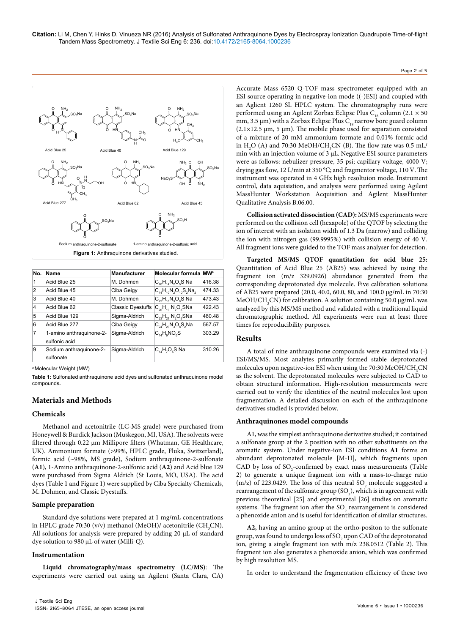

| No. | Name                                      | <b>Manufacturer</b>      | <b>Molecular formula</b>             | <b>MWa</b> |
|-----|-------------------------------------------|--------------------------|--------------------------------------|------------|
| 1   | Acid Blue 25                              | M Dohmen                 | $C_{20}H_{14}N_{2}O_{5}S$ Na         | 416.38     |
| 2   | Acid Blue 45                              | Ciba Geigy               | $C_{11}H_{10}N_{2}O_{10}S_{2}Na_{2}$ | 474.33     |
| 3   | Acid Blue 40                              | M. Dohmen                | $C_{22}H_{16}N_{3}O_{6}S$ Na         | 473.43     |
| 4   | Acid Blue 62                              | <b>Classic Dyestuffs</b> | $C_{20}H_{10}N_{2}O_{6}S$ Na         | 42243      |
| 5   | Acid Blue 129                             | Sigma-Aldrich            | $C_{23}H_{21}N_2O_5SNa$              | 460.48     |
| 6   | Acid Blue 277                             | Ciba Geigy               | $C_{24}H_{23}N_{3}O_{8}S_{2}Na$      | 567.57     |
| 7   | 1-amino anthraguinone-2-<br>sulfonic acid | Sigma-Aldrich            | $C_{14}H_0NO_5S$                     | 303.29     |
| 9   | Sodium anthraguinone-2-<br>sulfonate      | Sigma-Aldrich            | $C_{14}H_{7}O_{6}S$ Na               | 310.26     |

<sup>a</sup>Molecular Weight (MW)

**Table 1:** Sulfonated anthraquinone acid dyes and sulfonated anthraquinone model compounds**.**

# **Materials and Methods**

### **Chemicals**

Methanol and acetonitrile (LC-MS grade) were purchased from Honeywell & Burdick Jackson (Muskegon, MI, USA). The solvents were filtered through 0.22 µm Millipore filters (Whatman, GE Healthcare, UK). Ammonium formate (>99%, HPLC grade, Fluka, Switzerland), formic acid (~98%, MS grade), Sodium anthraquinone-2-sulfonate (**A1**), 1-Amino anthraquinone-2-sulfonic acid (**A2**) and Acid blue 129 were purchased from Sigma Aldrich (St Louis, MO, USA). The acid dyes (Table 1 and Figure 1) were supplied by Ciba Specialty Chemicals, M. Dohmen, and Classic Dyestuffs.

### **Sample preparation**

Standard dye solutions were prepared at 1 mg/mL concentrations in HPLC grade 70:30 (v/v) methanol (MeOH)/ acetonitrile (CH<sub>3</sub>CN). All solutions for analysis were prepared by adding 20 μL of standard dye solution to 980 μL of water (Milli-Q).

### **Instrumentation**

**Liquid chromatography/mass spectrometry (LC/MS)**: The experiments were carried out using an Agilent (Santa Clara, CA)

Accurate Mass 6520 Q-TOF mass spectrometer equipped with an ESI source operating in negative-ion mode ((-)ESI) and coupled with an Aglient 1260 SL HPLC system. The chromatography runs were performed using an Agilent Zorbax Eclipse Plus C<sub>18</sub> column (2.1  $\times$  50 mm, 3.5  $\mu$ m) with a Zorbax Eclipse Plus C<sub>18</sub> narrow bore guard column  $(2.1\times12.5 \text{ µm}, 5 \text{ µm})$ . The mobile phase used for separation consisted of a mixture of 20 mM ammonium formate and 0.01% formic acid in  $H_2O$  (A) and 70:30 MeOH/CH<sub>3</sub>CN (B). The flow rate was 0.5 mL/ min with an injection volume of 3 μL. Negative ESI source parameters were as follows: nebulizer pressure, 35 psi; capillary voltage, 4000 V; drying gas flow, 12 L/min at 350 °C; and fragmentor voltage, 110 V. The instrument was operated in 4 GHz high resoltuion mode. Instrument control, data aquisistion, and analysis were performed using Agilent MassHunter Workstation Acquisition and Agilent MassHunter Qualitative Analysis B.06.00.

Page 2 of 5

**Collision activated dissociation (CAD):** MS/MS experiments were performed on the collision cell (hexapole) of the QTOF by selecting the ion of interest with an isolation width of 1.3 Da (narrow) and colliding the ion with nitrogen gas (99.9995%) with collision energy of 40 V. All fragment ions were guided to the TOF mass analyser for detection.

**Targeted MS/MS QTOF quantitation for acid blue 25:**  Quantitation of Acid Blue 25 (AB25) was achieved by using the fragment ion (m/z 329.0926) abundance generated from the corresponding deprotonated dye molecule. Five calibration solutions of AB25 were prepared (20.0, 40.0, 60.0, 80, and 100.0 µg/mL in 70:30 MeOH/CH<sub>3</sub>CN) for calibration. A solution containing 50.0  $\mu$ g/mL was analyzed by this MS/MS method and validated with a traditional liquid chromatographic method. All experiments were run at least three times for reproducibility purposes.

### **Results**

A total of nine anthraquinone compounds were examined via (-) ESI/MS/MS. Most analytes primarily formed stable deprotonated molecules upon negative-ion ESI when using the 70:30 MeOH/CH<sub>3</sub>CN as the solvent. The deprotonated molecules were subjected to CAD to obtain structural information. High-resolution measurements were carried out to verify the identities of the neutral molecules lost upon fragmentation. A detailed discussion on each of the anthraquinone derivatives studied is provided below.

### **Anthraquinones model compounds**

A1, wasthe simplest anthraquinone derivative studied; it contained a sulfonate group at the 2 position with no other substituents on the aromatic system. Under negative-ion ESI conditions **A1** forms an abundant deprotonated molecule [M-H], which fragments upon CAD by loss of  $SO_2$ -confirmed by exact mass measurements (Table 2) to generate a unique fragment ion with a mass-to-charge ratio (m/z) of 223.0429. The loss of this neutral  $SO_2$  molecule suggested a rearrangement of the sulfonate group  $(SO_3)$ , which is in agreement with previous theoretical [25] and experimental [26] studies on aromatic systems. The fragment ion after the  $SO<sub>3</sub>$  rearrangement is considered a phenoxide anion and is useful for identification of similar structures.

**A2,** having an amino group at the ortho-positon to the sulfonate group, was found to undergo loss of SO $_{\rm 2}$ upon CAD of the deprotonated ion, giving a single fragment ion with m/z 238.0512 (Table 2). This fragment ion also generates a phenoxide anion, which was confirmed by high resolution MS.

In order to understand the fragmentation efficiency of these two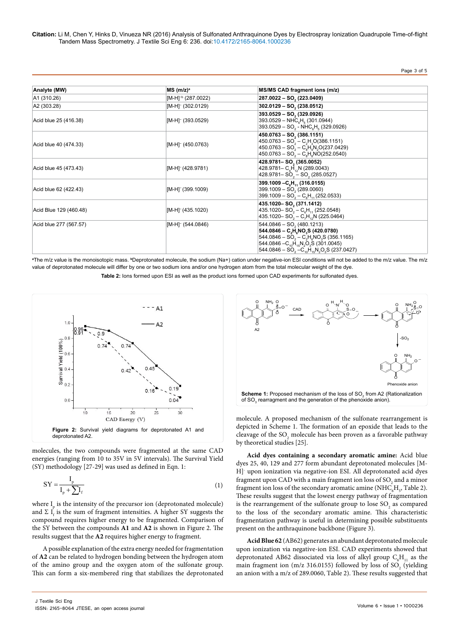# Page 3 of 5

| Analyte (MW)           | $MS$ (m/z) <sup>a</sup>         | MS/MS CAD fragment ions (m/z)                                                                                                                                                                                                                                            |
|------------------------|---------------------------------|--------------------------------------------------------------------------------------------------------------------------------------------------------------------------------------------------------------------------------------------------------------------------|
| A1 (310.26)            | $[M-H]^{-b}$ (287.0022)         | 287.0022 - SO, (223.0409)                                                                                                                                                                                                                                                |
| A2 (303.28)            | [M-H] <sup>-</sup> (302.0129)   | $302.0129 - SO2(238.0512)$                                                                                                                                                                                                                                               |
| Acid blue 25 (416.38)  | [M-H] <sup>-</sup> (393.0529)   | $393.0529 - SO2 (329.0926)$<br>$393.0529 - \text{NHC}_{\text{e}}H_{\text{f}}(301.0944)$<br>$393.0529 - SO2 - NHC6H6$ (329.0926)                                                                                                                                          |
| Acid blue 40 (474.33)  | [M-H] <sup>-</sup> (450.0763)   | $450.0763 - SO2 (386.1151)$<br>$450.0763 - SO2 - C2H3O(386.1151)$<br>$450.0763 - SO2 - C8H9N2O(237.0429)$<br>$450.0763 - SO2 - C8H8NO(252.0540)$                                                                                                                         |
| Acid blue 45 (473.43)  | $[M-H]$ <sup>-</sup> (428.9781) | 428.9781-SO <sub>2</sub> (365.0052)<br>428.9781 - C <sub>c</sub> H <sub>1</sub> ,N (289.0043)<br>428.9781 - $SO_2$ - $SO_2$ (285.0527)                                                                                                                                   |
| Acid blue 62 (422.43)  | $[M-H]$ <sup>-</sup> (399.1009) | 399.1009 - C <sub>c</sub> H <sub>1</sub> (316.0155)<br>$399.1009 - SO2(289.0060)$<br>399.1009 – SO <sub>2</sub> – C <sub>6</sub> H <sub>11</sub> (252.0533)                                                                                                              |
| Acid Blue 129 (460.48) | $[M-H]$ <sup>-</sup> (435.1020) | 435.1020-SO <sub>2</sub> (371.1412)<br>435.1020 - SO <sub>2</sub> - C <sub>2</sub> H <sub>11</sub> (252.0548)<br>435.1020 - SO <sub>2</sub> - C <sub>7</sub> H <sub>12</sub> N (225.0464)                                                                                |
| Acid blue 277 (567.57) | $[M-H]$ <sup>-</sup> (544.0846) | $544.0846 - SO2(480.1213)$<br>$544.0846 - C, H, NO, S$ (420.0780)<br>$544.0846 - SO2 - C2H2NO2S (356.1165)$<br>544.0846 $-C_{10}H_{15}N_{2}O_{3}S$ (301.0045)<br>544.0846 – SO <sub>2</sub> – C <sub>10</sub> H <sub>15</sub> N <sub>2</sub> O <sub>3</sub> S (237.0427) |

**a** The m/z value is the monoisotopic mass. **<sup>b</sup>**Deprotonated molecule, the sodium (Na+) cation under negative-ion ESI conditions will not be added to the m/z value. The m/z value of deprotonated molecule will differ by one or two sodium ions and/or one hydrogen atom from the total molecular weight of the dye.

**Table 2:** Ions formed upon ESI as well as the product ions formed upon CAD experiments for sulfonated dyes.



molecules, the two compounds were fragmented at the same CAD energies (ranging from 10 to 35V in 5V intervals). The Survival Yield (SY) methodology [27-29] was used as defined in Eqn. 1:

$$
SY = \frac{I_p}{I_p + \sum I_f} \tag{1}
$$

where  $I_{\text{p}}$  is the intensity of the precursor ion (deprotonated molecule) and  $\Sigma$  I<sub>f</sub> is the sum of fragment intensities. A higher SY suggests the compound requires higher energy to be fragmented. Comparison of the SY between the compounds **A1** and **A2** is shown in Figure 2. The results suggest that the **A2** requires higher energy to fragment.

A possible explanation of the extra energy needed for fragmentation of **A2** can be related to hydrogen bonding between the hydrogen atom of the amino group and the oxygen atom of the sulfonate group. This can form a six-membered ring that stabilizes the deprotonated



molecule. A proposed mechanism of the sulfonate rearrangement is depicted in Scheme 1. The formation of an epoxide that leads to the cleavage of the  $\mathrm{SO}_2$  molecule has been proven as a favorable pathway by theoretical studies [25].

**Acid dyes containing a secondary aromatic amine:** Acid blue dyes 25, 40, 129 and 277 form abundant deprotonated molecules [M-H]- upon ionization via negative-ion ESI. All deprotonated acid dyes fragment upon CAD with a main fragment ion loss of  $\mathrm{SO}_2$  and a minor fragment ion loss of the secondary aromatic amine (NHC $_{6}$ H<sub>5</sub>, Table 2). These results suggest that the lowest energy pathway of fragmentation is the rearrangement of the sulfonate group to lose  ${SO_2}$  as compared to the loss of the secondary aromatic amine. This characteristic fragmentation pathway is useful in determining possible substituents present on the anthraquinone backbone (Figure 3).

**Acid Blue 62** (AB62) generates an abundant deprotonated molecule upon ionization via negative-ion ESI. CAD experiments showed that deprotonated AB62 dissociated via loss of alkyl group  $C_6H_{11}$  as the main fragment ion (m/z 316.0155) followed by loss of  $SO_2$  (yielding an anion with a m/z of 289.0060, Table 2). These results suggested that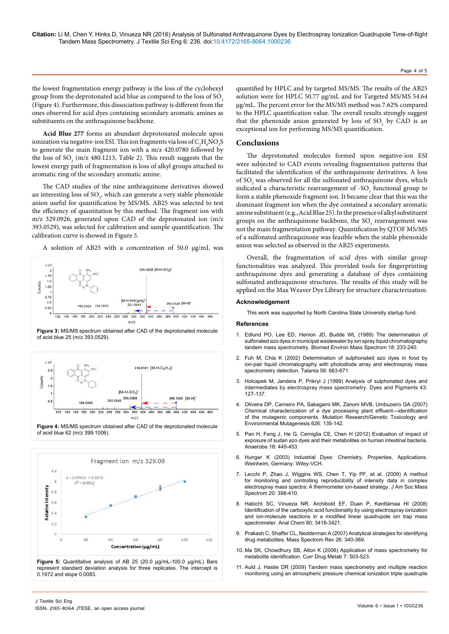Page 4 of 5

the lowest fragmentation energy pathway is the loss of the cyclohexyl group from the deprotonated acid blue as compared to the loss of SO<sub>2</sub>. (Figure 4). Furthermore, this dissociation pathway is different from the ones observed for acid dyes containing secondary aromatic amines as substituents on the anthraquinone backbone.

**Acid Blue 277** forms an abundant deprotonated molecule upon ionization via negative-ion ESI. This ion fragments via loss of  $\rm C_2H_6NO_3S$ to generate the main fragment ion with a m/z 420.0780 followed by the loss of SO<sub>2</sub> (m/z 480.1213, Table 2). This result suggests that the lowest energy path of fragmentation is loss of alkyl groups attached to aromatic ring of the secondary aromatic amine.

The CAD studies of the nine anthraquinone derivatives showed an interesting loss of  $\text{SO}_2$ , which can generate a very stable phenoxide anion useful for quantification by MS/MS. AB25 was selected to test the efficiency of quantitation by this method. The fragment ion with m/z 329.0926, generated upon CAD of the deprotonated ion (m/z 393.0529), was selected for calibration and sample quantification. The calibration curve is showed in Figure 5.

A solution of AB25 with a concentration of 50.0 µg/mL was









represent standard deviation analysis for three replicates. The intercept is 0.1972 and slope 0.0083.

quantified by HPLC and by targeted MS/MS. The results of the AB25 solution were for HPLC 50.77 µg/mL and for Targeted MS/MS 54.64 µg/mL. The percent error for the MS/MS method was 7.62% compared to the HPLC quantification value. The overall results strongly suggest that the phenoxide anion generated by loss of  $SO_2$  by CAD is an exceptional ion for performing MS/MS quantification.

#### **Conclusions**

The deprotonated molecules formed upon negative-ion ESI were subjected to CAD events revealing fragmentation patterns that facilitated the identification of the anthraquinone derivatives. A loss of  $\text{SO}_2$  was observed for all the sulfonated anthraquinone dyes, which indicated a characteristic rearrangement of  $-SO<sub>3</sub>$  functional group to form a stable phenoxide fragment ion. It became clear that this was the dominant fragment ion when the dye contained a secondary aromatic amine substituent (e.g., Acid Blue 25). In the presence of alkyl substituent groups on the anthraquinone backbone, the  $\text{SO}_3$  rearrangement was not the main fragmentation pathway. Quantification by QTOF MS/MS of a sulfonated anthraquinone was feasible when the stable phenoxide anion was selected as observed in the AB25 experiments.

Overall, the fragmentation of acid dyes with similar group functionalities was analyzed. This provided tools for fingerprinting anthraquinone dyes and generating a database of dyes containing sulfonated anthraquinone structures. The results of this study will be applied on the Max Weaver Dye Library for structure characterization.

#### **Acknowledgement**

This work was supported by North Carolina State University startup fund.

#### **References**

- 1. [Edlund PO, Lee ED, Henion JD, Budde WL \(1989\) The determination of](file:///E:/Journals/JTESE/JTESEVolume.6/JTESEVolume%206.1/JTESE6.1_AI/onlinelibrary.wiley.com/doi/10.1002/bms.1200180405/abstract;jsessionid=4CF7626ADD36D23A2C01F06ACC911232.f01t01)  [sulfonated azo dyes in municipal wastewater by ion spray liquid chromatography](file:///E:/Journals/JTESE/JTESEVolume.6/JTESEVolume%206.1/JTESE6.1_AI/onlinelibrary.wiley.com/doi/10.1002/bms.1200180405/abstract;jsessionid=4CF7626ADD36D23A2C01F06ACC911232.f01t01)  [tandem mass spectrometry. Biomed Environ Mass Spectrom 18: 233-240.](file:///E:/Journals/JTESE/JTESEVolume.6/JTESEVolume%206.1/JTESE6.1_AI/onlinelibrary.wiley.com/doi/10.1002/bms.1200180405/abstract;jsessionid=4CF7626ADD36D23A2C01F06ACC911232.f01t01)
- 2. [Fuh M, Chia K \(2002\) Determination of sulphonated azo dyes in food by](http://www.sciencedirect.com/science/article/pii/S0039914001006257)  [ion-pair liquid chromatography with photodiode array and electrospray mass](http://www.sciencedirect.com/science/article/pii/S0039914001006257)  [spectrometry detection. Talanta 56: 663-671.](http://www.sciencedirect.com/science/article/pii/S0039914001006257)
- 3. [Holcapek M, Jandera P, Prikryl J \(1999\) Analysis of sulphonated dyes and](http://www.sciencedirect.com/science/article/pii/S0143720899000510)  [intermediates by electrospray mass spectrometry. Dyes and Pigments 43:](http://www.sciencedirect.com/science/article/pii/S0143720899000510)  [127-137.](http://www.sciencedirect.com/science/article/pii/S0143720899000510)
- 4. [Oliveira DP, Carneiro PA, Sakagami MK, Zanoni MVB, Umbuzeiro GA \(2007\)](http://www.sciencedirect.com/science/article/pii/S1383571806003536)  [Chemical characterization of a dye processing plant effluent—identification](http://www.sciencedirect.com/science/article/pii/S1383571806003536)  [of the mutagenic components. Mutation Research/Genetic Toxicology and](http://www.sciencedirect.com/science/article/pii/S1383571806003536)  [Environmental Mutagenesis 626: 135-142.](http://www.sciencedirect.com/science/article/pii/S1383571806003536)
- 5. [Pan H, Feng J, He G, Cerniglia CE, Chen H \(2012\) Evaluation of impact of](http://www.ncbi.nlm.nih.gov/pubmed/22634331)  [exposure of sudan azo dyes and their metabolites on human intestinal bacteria.](http://www.ncbi.nlm.nih.gov/pubmed/22634331)  [Anaerobe 18: 445-453.](http://www.ncbi.nlm.nih.gov/pubmed/22634331)
- 6. [Hunger K \(2003\) Industrial](https://books.google.co.in/books?hl=en&lr=&id=uAzS4Hk2TgwC&oi=fnd&pg=PR5&dq=Industrial+Dyes:+Chemistry,+Properties,+Applications&ots=e4zpEPS9GW&sig=JimtodRA3Ak1nfCZzXiHIrLuwho#v=onepage&q=Industrial Dyes%3A Chemistry%2C Properties%2C Applications&f=false) Dyes: Chemistry, Properties, Applications. [Weinheim, Germany: Wiley-VCH.](https://books.google.co.in/books?hl=en&lr=&id=uAzS4Hk2TgwC&oi=fnd&pg=PR5&dq=Industrial+Dyes:+Chemistry,+Properties,+Applications&ots=e4zpEPS9GW&sig=JimtodRA3Ak1nfCZzXiHIrLuwho#v=onepage&q=Industrial Dyes%3A Chemistry%2C Properties%2C Applications&f=false)
- 7. [Lecchi P, Zhao J, Wiggins WS, Chen T, Yip PF, et al. \(2009\) A method](http://www.ncbi.nlm.nih.gov/pubmed/19036606)  [for monitoring and controlling reproducibility of intensity data in complex](http://www.ncbi.nlm.nih.gov/pubmed/19036606)  [electrospray mass spectra: A thermometer ion-based strategy. J Am Soc Mass](http://www.ncbi.nlm.nih.gov/pubmed/19036606)  [Spectrom 20: 398-410.](http://www.ncbi.nlm.nih.gov/pubmed/19036606)
- 8. [Habicht SC, Vinueza NR, Archibold EF, Duan P, Kenttämaa HI \(2008\)](http://www.ncbi.nlm.nih.gov/pubmed/18363408)  [Identification of the carboxylic acid functionality by using electrospray ionization](http://www.ncbi.nlm.nih.gov/pubmed/18363408)  [and ion-molecule reactions in a modified linear quadrupole ion trap mass](http://www.ncbi.nlm.nih.gov/pubmed/18363408)  [spectrometer. Anal Chem 80: 3416-3421.](http://www.ncbi.nlm.nih.gov/pubmed/18363408)
- 9. [Prakash C, Shaffer CL, Nedderman A \(2007\) Analytical strategies for identifying](http://www.ncbi.nlm.nih.gov/pubmed/17405144)  [drug metabolites. Mass Spectrom Rev 26: 340-369.](http://www.ncbi.nlm.nih.gov/pubmed/17405144)
- 10. [Ma SK, Chowdhury SB, Alton K \(2006\) Application of mass spectrometry for](http://www.ncbi.nlm.nih.gov/pubmed/16787159)  [metabolite identification. Curr Drug Metab 7: 503-523.](http://www.ncbi.nlm.nih.gov/pubmed/16787159)
- 11. [Auld J, Hastie DR \(2009\) Tandem mass spectrometry and multiple reaction](http://www.sciencedirect.com/science/article/pii/S1387380609000669)  [monitoring using an atmospheric pressure chemical ionization triple quadruple](http://www.sciencedirect.com/science/article/pii/S1387380609000669)